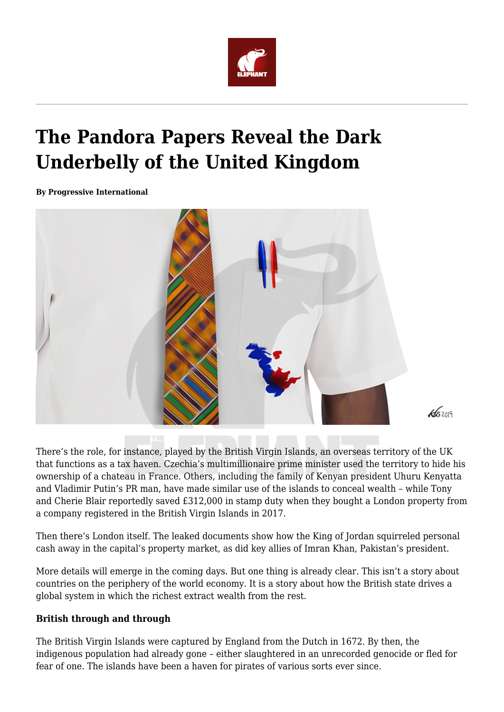

## **The Pandora Papers Reveal the Dark Underbelly of the United Kingdom**

**By Progressive International**



There's the role, for instance, played by the British Virgin Islands, an overseas territory of the UK that functions as a tax haven. Czechia's multimillionaire prime minister used the territory to hide his ownership of a chateau in France. Others, including the family of Kenyan president Uhuru Kenyatta and Vladimir Putin's PR man, have made similar use of the islands to conceal wealth – while Tony and Cherie Blair reportedly saved £312,000 in stamp duty when they bought a London property from a company registered in the British Virgin Islands in 2017.

Then there's London itself. The leaked documents show how the King of Jordan squirreled personal cash away in the capital's property market, as did key allies of Imran Khan, Pakistan's president.

More details will emerge in the coming days. But one thing is already clear. This isn't a story about countries on the periphery of the world economy. It is a story about how the British state drives a global system in which the richest extract wealth from the rest.

## **British through and through**

The British Virgin Islands were captured by England from the Dutch in 1672. By then, the indigenous population had already gone – either slaughtered in an unrecorded genocide or fled for fear of one. The islands have been a haven for pirates of various sorts ever since.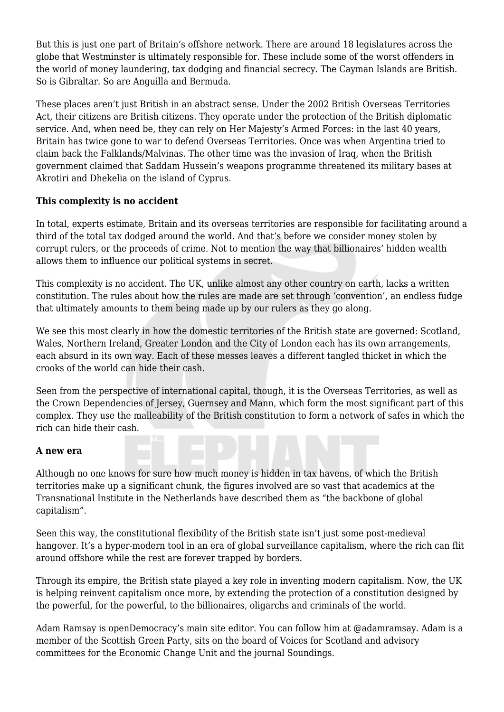But this is just one part of Britain's offshore network. There are around 18 legislatures across the globe that Westminster is ultimately responsible for. These include some of the worst offenders in the world of money laundering, tax dodging and financial secrecy. The Cayman Islands are British. So is Gibraltar. So are Anguilla and Bermuda.

These places aren't just British in an abstract sense. Under the 2002 British Overseas Territories Act, their citizens are British citizens. They operate under the protection of the British diplomatic service. And, when need be, they can rely on Her Majesty's Armed Forces: in the last 40 years, Britain has twice gone to war to defend Overseas Territories. Once was when Argentina tried to claim back the Falklands/Malvinas. The other time was the invasion of Iraq, when the British government claimed that Saddam Hussein's weapons programme threatened its military bases at Akrotiri and Dhekelia on the island of Cyprus.

## **This complexity is no accident**

In total, experts estimate, Britain and its overseas territories are responsible for facilitating around a third of the total tax dodged around the world. And that's before we consider money stolen by corrupt rulers, or the proceeds of crime. Not to mention the way that billionaires' hidden wealth allows them to influence our political systems in secret.

This complexity is no accident. The UK, unlike almost any other country on earth, lacks a written constitution. The rules about how the rules are made are set through 'convention', an endless fudge that ultimately amounts to them being made up by our rulers as they go along.

We see this most clearly in how the domestic territories of the British state are governed: Scotland, Wales, Northern Ireland, Greater London and the City of London each has its own arrangements, each absurd in its own way. Each of these messes leaves a different tangled thicket in which the crooks of the world can hide their cash.

Seen from the perspective of international capital, though, it is the Overseas Territories, as well as the Crown Dependencies of Jersey, Guernsey and Mann, which form the most significant part of this complex. They use the malleability of the British constitution to form a network of safes in which the rich can hide their cash.

## **A new era**

Although no one knows for sure how much money is hidden in tax havens, of which the British territories make up a significant chunk, the figures involved are so vast that academics at the Transnational Institute in the Netherlands have described them as "the backbone of global capitalism".

Seen this way, the constitutional flexibility of the British state isn't just some post-medieval hangover. It's a hyper-modern tool in an era of global surveillance capitalism, where the rich can flit around offshore while the rest are forever trapped by borders.

Through its empire, the British state played a key role in inventing modern capitalism. Now, the UK is helping reinvent capitalism once more, by extending the protection of a constitution designed by the powerful, for the powerful, to the billionaires, oligarchs and criminals of the world.

Adam Ramsay is openDemocracy's main site editor. You can follow him at @adamramsay. Adam is a member of the Scottish Green Party, sits on the board of Voices for Scotland and advisory committees for the Economic Change Unit and the journal Soundings.